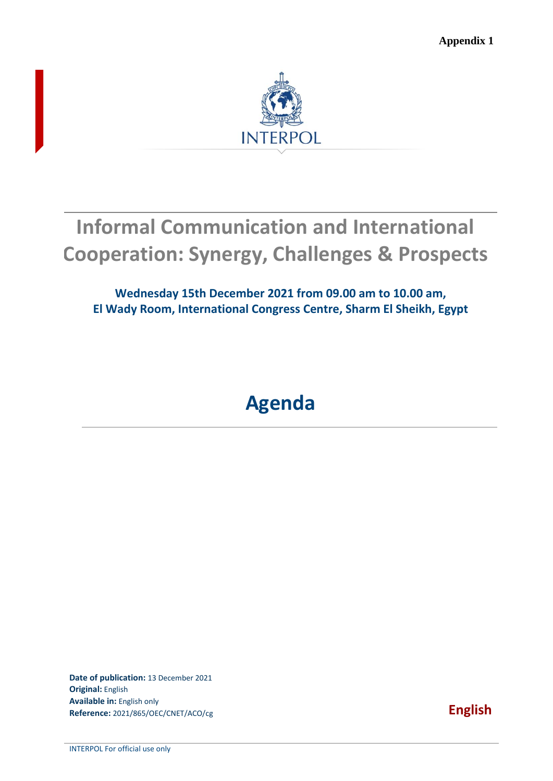**Appendix 1**



# **Informal Communication and International Cooperation: Synergy, Challenges & Prospects**

**Wednesday 15th December 2021 from 09.00 am to 10.00 am, El Wady Room, International Congress Centre, Sharm El Sheikh, Egypt** 

## **Agenda**

**Date of publication:** 13 December 2021 **Original:** English **Available in:** English only **Reference:** 2021/865/OEC/CNET/ACO/cg **English**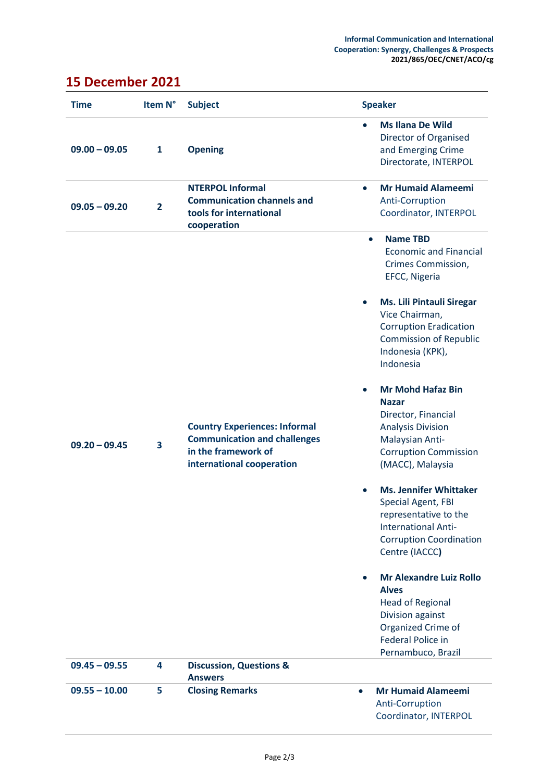Anti-Corruption

Coordinator, INTERPOL

#### **Time Item N° Subject Speaker 09.00 – 09.05 1 Opening Ms Ilana De Wild** Director of Organised and Emerging Crime Directorate, INTERPOL **09.05 – 09.20 2 NTERPOL Informal Communication channels and tools for international cooperation Mr Humaid Alameemi** Anti-Corruption Coordinator, INTERPOL **09.20 – 09.45 3 Country Experiences: Informal Communication and challenges in the framework of international cooperation Name TBD** Economic and Financial Crimes Commission, EFCC, Nigeria **Ms. Lili Pintauli Siregar** Vice Chairman, Corruption Eradication Commission of Republic Indonesia (KPK), Indonesia **Mr Mohd Hafaz Bin Nazar** Director, Financial Analysis Division Malaysian Anti-Corruption Commission (MACC), Malaysia **Ms. Jennifer Whittaker** Special Agent, FBI representative to the International Anti-Corruption Coordination Centre (IACCC**) Mr Alexandre Luiz Rollo Alves** Head of Regional Division against Organized Crime of Federal Police in Pernambuco, Brazil **09.45 – 09.55 4 Discussion, Questions & Answers 09.55 – 10.00 5 Closing Remarks Mr Humaid Alameemi**

### **15 December 2021**